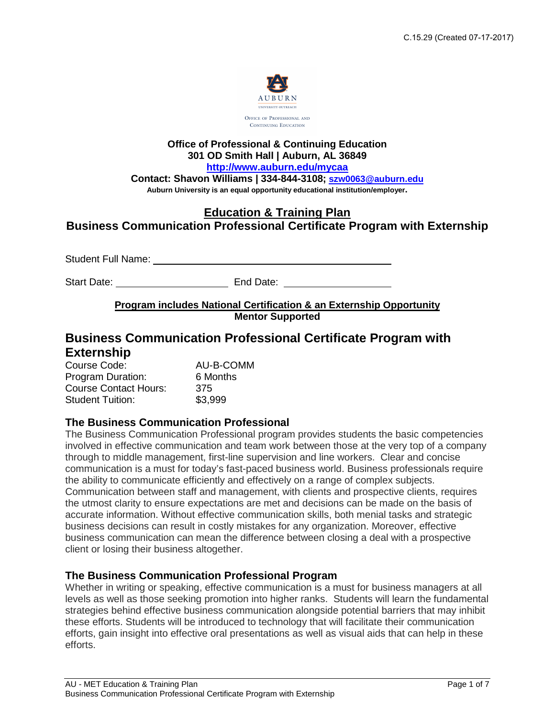

**Office of Professional & Continuing Education 301 OD Smith Hall | Auburn, AL 36849** 

http://www.auburn.edu/mycaa

**<http://www.auburn.edu/mycaa>Contact: Shavon Williams | 334-844-3108; [szw0063@auburn.edu](mailto:szw0063@auburn.edu)**

# **Auburn University is an equal opportunity educational institution/employer.Education & Training Plan Business Communication Professional Certificate Program with Externship**

Student Full Name: University of Student Full Name:

Start Date: End Date: End Date:

## **Program includes National Certification & an Externship Opportunity Mentor Supported**

# **Business Communication Professional Certificate Program with Externship**

| Course Code:                 | AU-B-COMM |
|------------------------------|-----------|
| Program Duration:            | 6 Months  |
| <b>Course Contact Hours:</b> | 375       |
| <b>Student Tuition:</b>      | \$3,999   |

## **The Business Communication Professional**

The Business Communication Professional program provides students the basic competencies involved in effective communication and team work between those at the very top of a company through to middle management, first-line supervision and line workers. Clear and concise communication is a must for today's fast-paced business world. Business professionals require the ability to communicate efficiently and effectively on a range of complex subjects. Communication between staff and management, with clients and prospective clients, requires the utmost clarity to ensure expectations are met and decisions can be made on the basis of accurate information. Without effective communication skills, both menial tasks and strategic business decisions can result in costly mistakes for any organization. Moreover, effective business communication can mean the difference between closing a deal with a prospective client or losing their business altogether.

## **The Business Communication Professional Program**

Whether in writing or speaking, effective communication is a must for business managers at all levels as well as those seeking promotion into higher ranks. Students will learn the fundamental strategies behind effective business communication alongside potential barriers that may inhibit these efforts. Students will be introduced to technology that will facilitate their communication efforts, gain insight into effective oral presentations as well as visual aids that can help in these efforts.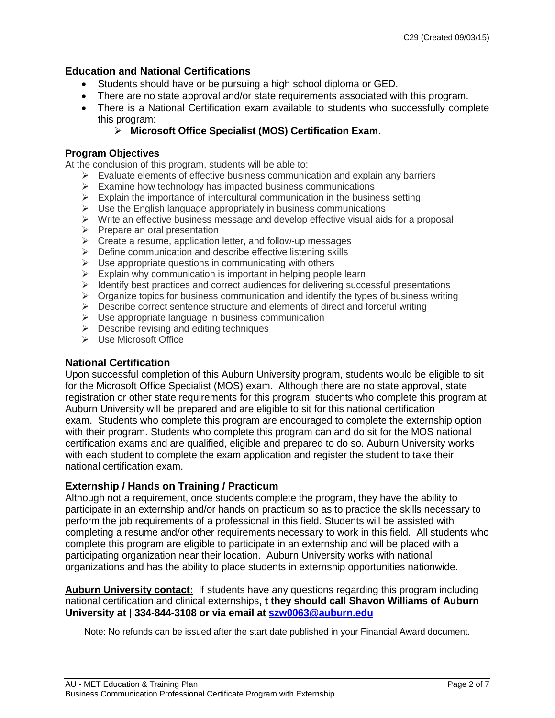## **Education and National Certifications**

- Students should have or be pursuing a high school diploma or GED.
- •There are no state approval and/or state requirements associated with this program.
- $\bullet$ •There is a National Certification exam available to students who successfully complete this program:

## **Microsoft Office Specialist (MOS) Certification Exam**.

### **Program Objectives**

At the conclusion of this program, students will be able to:

- $\triangleright$  Evaluate elements of effective business communication and explain any barriers
- $\triangleright$  Examine how technology has impacted business communications
- $\triangleright$  Explain the importance of intercultural communication in the business setting
- $\triangleright$  Use the English language appropriately in business communications
- $\triangleright$  Write an effective business message and develop effective visual aids for a proposal
- $\triangleright$  Prepare an oral presentation
- $\triangleright$  Create a resume, application letter, and follow-up messages
- $\triangleright$  Define communication and describe effective listening skills
- $\triangleright$  Use appropriate questions in communicating with others
- $\triangleright$  Explain why communication is important in helping people learn
- $\triangleright$  Identify best practices and correct audiences for delivering successful presentations
- $\triangleright$  Organize topics for business communication and identify the types of business writing
- $\triangleright$  Describe correct sentence structure and elements of direct and forceful writing
- $\triangleright$  Use appropriate language in business communication
- $\triangleright$  Describe revising and editing techniques
- $\triangleright$  Use Microsoft Office

## **National Certification**

Upon successful completion of this Auburn University program, students would be eligible to sit for the Microsoft Office Specialist (MOS) exam. Although there are no state approval, state registration or other state requirements for this program, students who complete this program at Auburn University will be prepared and are eligible to sit for this national certification exam. Students who complete this program are encouraged to complete the externship option with their program. Students who complete this program can and do sit for the MOS national certification exams and are qualified, eligible and prepared to do so. Auburn University works with each student to complete the exam application and register the student to take their national certification exam.

## **Externship / Hands on Training / Practicum**

Although not a requirement, once students complete the program, they have the ability to participate in an externship and/or hands on practicum so as to practice the skills necessary to perform the job requirements of a professional in this field. Students will be assisted with completing a resume and/or other requirements necessary to work in this field. All students who complete this program are eligible to participate in an externship and will be placed with a participating organization near their location. Auburn University works with national organizations and has the ability to place students in externship opportunities nationwide.

**Auburn University contact:** If students have any questions regarding this program including national certification and clinical externships**, t they should call Shavon Williams of Auburn University at | 334-844-3108 or via email at [szw0063@auburn.edu](mailto:szw0063@auburn.edu)** 

Note: No refunds can be issued after the start date published in your Financial Award document.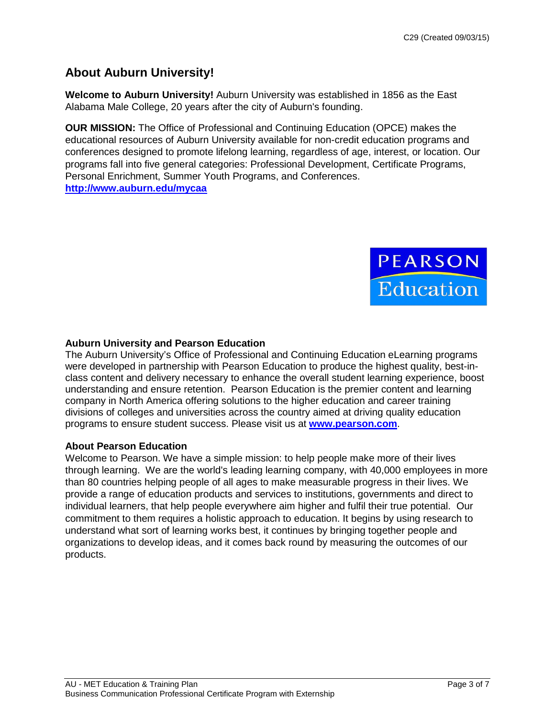# **About Auburn University!**

**Welcome to Auburn University!** Auburn University was established in 1856 as the East Alabama Male College, 20 years after the city of Auburn's founding.

**OUR MISSION:** The Office of Professional and Continuing Education (OPCE) makes the educational resources of Auburn University available for non-credit education programs and conferences designed to promote lifelong learning, regardless of age, interest, or location. Our programs fall into five general categories: Professional Development, Certificate Programs, Personal Enrichment, Summer Youth Programs, and Conferences. **<http://www.auburn.edu/mycaa>**



## **Auburn University and Pearson Education**

The Auburn University's Office of Professional and Continuing Education eLearning programs were developed in partnership with Pearson Education to produce the highest quality, best-inclass content and delivery necessary to enhance the overall student learning experience, boost understanding and ensure retention. Pearson Education is the premier content and learning company in North America offering solutions to the higher education and career training divisions of colleges and universities across the country aimed at driving quality education programs to ensure student success. Please visit us at **[www.pearson.com](http://www.pearson.com/)**.

## **About Pearson Education**

Welcome to Pearson. We have a simple mission: to help people make more of their lives through learning. We are the world's leading learning company, with 40,000 employees in more than 80 countries helping people of all ages to make measurable progress in their lives. We provide a range of education products and services to institutions, governments and direct to individual learners, that help people everywhere aim higher and fulfil their true potential. Our commitment to them requires a holistic approach to education. It begins by using research to understand what sort of learning works best, it continues by bringing together people and organizations to develop ideas, and it comes back round by measuring the outcomes of our products.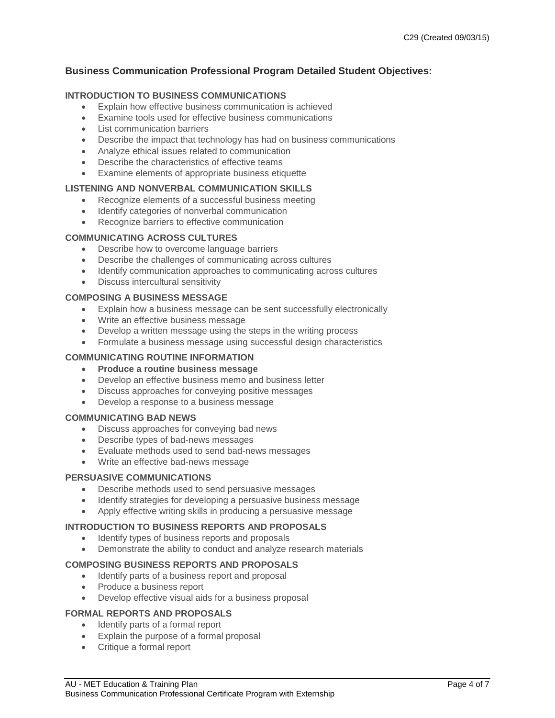## **Business Communication Professional Program Detailed Student Objectives:**

#### **INTRODUCTION TO BUSINESS COMMUNICATIONS**

- Explain how effective business communication is achieved
- Examine tools used for effective business communications
- List communication barriers
- Describe the impact that technology has had on business communications
- Analyze ethical issues related to communication
- Describe the characteristics of effective teams
- Examine elements of appropriate business etiquette

#### **LISTENING AND NONVERBAL COMMUNICATION SKILLS**

- Recognize elements of a successful business meeting
- Identify categories of nonverbal communication
- Recognize barriers to effective communication

#### **COMMUNICATING ACROSS CULTURES**

- Describe how to overcome language barriers
- Describe the challenges of communicating across cultures
- Identify communication approaches to communicating across cultures
- Discuss intercultural sensitivity

#### **COMPOSING A BUSINESS MESSAGE**

- Explain how a business message can be sent successfully electronically
- Write an effective business message
- Develop a written message using the steps in the writing process
- Formulate a business message using successful design characteristics

#### **COMMUNICATING ROUTINE INFORMATION**

#### • **Produce a routine business message**

- Develop an effective business memo and business letter
- Discuss approaches for conveying positive messages
- Develop a response to a business message

#### **COMMUNICATING BAD NEWS**

- Discuss approaches for conveying bad news
- Describe types of bad-news messages
- Evaluate methods used to send bad-news messages
- Write an effective bad-news message

#### **PERSUASIVE COMMUNICATIONS**

- Describe methods used to send persuasive messages
- Identify strategies for developing a persuasive business message
- Apply effective writing skills in producing a persuasive message

#### **INTRODUCTION TO BUSINESS REPORTS AND PROPOSALS**

- Identify types of business reports and proposals
- Demonstrate the ability to conduct and analyze research materials

#### **COMPOSING BUSINESS REPORTS AND PROPOSALS**

- Identify parts of a business report and proposal
- Produce a business report
- Develop effective visual aids for a business proposal

#### **FORMAL REPORTS AND PROPOSALS**

- Identify parts of a formal report
- Explain the purpose of a formal proposal
- Critique a formal report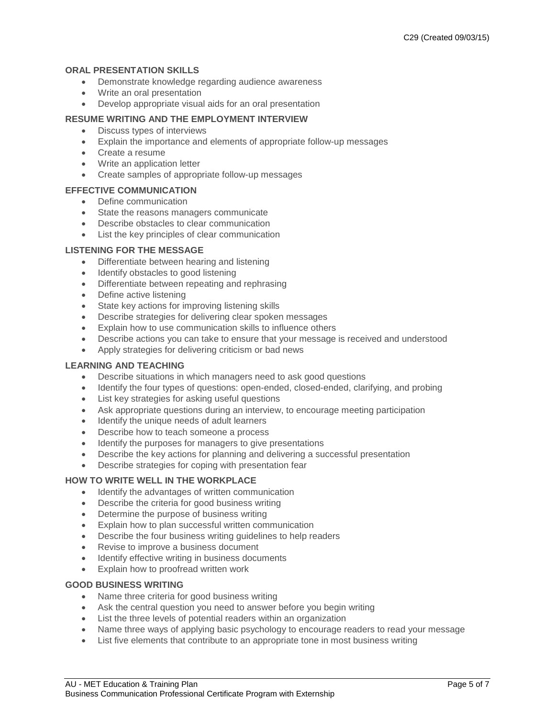#### **ORAL PRESENTATION SKILLS**

- Demonstrate knowledge regarding audience awareness
- Write an oral presentation
- Develop appropriate visual aids for an oral presentation

#### **RESUME WRITING AND THE EMPLOYMENT INTERVIEW**

- Discuss types of interviews
- Explain the importance and elements of appropriate follow-up messages
- Create a resume
- Write an application letter
- Create samples of appropriate follow-up messages

#### **EFFECTIVE COMMUNICATION**

- Define communication
- State the reasons managers communicate
- Describe obstacles to clear communication
- List the key principles of clear communication

#### **LISTENING FOR THE MESSAGE**

- Differentiate between hearing and listening
- Identify obstacles to good listening
- Differentiate between repeating and rephrasing
- Define active listening
- State key actions for improving listening skills
- Describe strategies for delivering clear spoken messages
- Explain how to use communication skills to influence others
- Describe actions you can take to ensure that your message is received and understood
- Apply strategies for delivering criticism or bad news

#### **LEARNING AND TEACHING**

- Describe situations in which managers need to ask good questions
- Identify the four types of questions: open-ended, closed-ended, clarifying, and probing
- List key strategies for asking useful questions
- Ask appropriate questions during an interview, to encourage meeting participation
- Identify the unique needs of adult learners
- Describe how to teach someone a process
- Identify the purposes for managers to give presentations
- Describe the key actions for planning and delivering a successful presentation
- Describe strategies for coping with presentation fear

#### **HOW TO WRITE WELL IN THE WORKPLACE**

- Identify the advantages of written communication
- Describe the criteria for good business writing
- Determine the purpose of business writing
- Explain how to plan successful written communication
- Describe the four business writing guidelines to help readers
- Revise to improve a business document
- Identify effective writing in business documents
- Explain how to proofread written work

## **GOOD BUSINESS WRITING**

- Name three criteria for good business writing
- Ask the central question you need to answer before you begin writing
- List the three levels of potential readers within an organization
- Name three ways of applying basic psychology to encourage readers to read your message
- List five elements that contribute to an appropriate tone in most business writing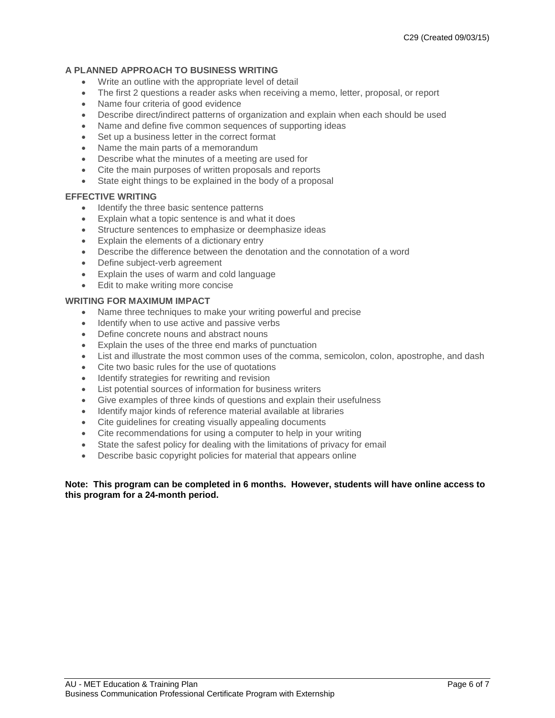#### **A PLANNED APPROACH TO BUSINESS WRITING**

- Write an outline with the appropriate level of detail
- The first 2 questions a reader asks when receiving a memo, letter, proposal, or report
- Name four criteria of good evidence
- Describe direct/indirect patterns of organization and explain when each should be used
- Name and define five common sequences of supporting ideas
- Set up a business letter in the correct format
- Name the main parts of a memorandum
- Describe what the minutes of a meeting are used for
- Cite the main purposes of written proposals and reports
- State eight things to be explained in the body of a proposal

#### **EFFECTIVE WRITING**

- Identify the three basic sentence patterns
- Explain what a topic sentence is and what it does
- Structure sentences to emphasize or deemphasize ideas
- Explain the elements of a dictionary entry
- Describe the difference between the denotation and the connotation of a word
- Define subject-verb agreement
- Explain the uses of warm and cold language
- Edit to make writing more concise

#### **WRITING FOR MAXIMUM IMPACT**

- Name three techniques to make your writing powerful and precise
- Identify when to use active and passive verbs
- Define concrete nouns and abstract nouns
- Explain the uses of the three end marks of punctuation
- List and illustrate the most common uses of the comma, semicolon, colon, apostrophe, and dash
- Cite two basic rules for the use of quotations
- Identify strategies for rewriting and revision
- List potential sources of information for business writers
- Give examples of three kinds of questions and explain their usefulness
- Identify major kinds of reference material available at libraries
- Cite guidelines for creating visually appealing documents
- Cite recommendations for using a computer to help in your writing
- State the safest policy for dealing with the limitations of privacy for email
- Describe basic copyright policies for material that appears online

#### **Note: This program can be completed in 6 months. However, students will have online access to this program for a 24-month period.**